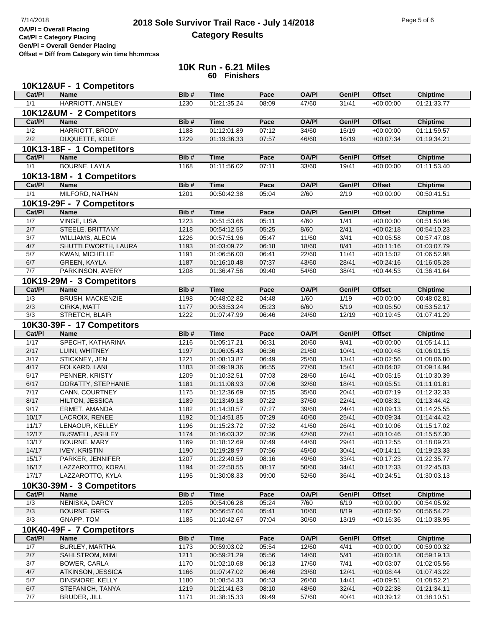## **2018 Sole Survivor Trail Race - July 14/2018** Page 5 of 6 Page 5 of 6 Page 5 of 6 **Category Results**

**Cat/Pl = Category Placing Gen/Pl = Overall Gender Placing**

**Offset = Diff from Category win time hh:mm:ss**

## **10K Run - 6.21 Miles 60 Finishers**

|              | 10K12&UF - 1 Competitors             |              |                            |                |                |                |                            |                            |
|--------------|--------------------------------------|--------------|----------------------------|----------------|----------------|----------------|----------------------------|----------------------------|
| Cat/PI       | <b>Name</b>                          | Bib#         | <b>Time</b>                | Pace           | <b>OA/PI</b>   | Gen/Pl         | <b>Offset</b>              | <b>Chiptime</b>            |
| 1/1          | <b>HARRIOTT, AINSLEY</b>             | 1230         | 01:21:35.24                | 08:09          | 47/60          | 31/41          | $+00:00:00$                | 01:21:33.77                |
|              | 10K12&UM - 2 Competitors             |              |                            |                |                |                |                            |                            |
| Cat/PI       | <b>Name</b>                          | Bib#         | <b>Time</b>                | Pace           | <b>OA/PI</b>   | Gen/Pl         | <b>Offset</b>              | <b>Chiptime</b>            |
| 1/2          | HARRIOTT, BRODY                      | 1188         | 01:12:01.89                | 07:12          | 34/60          | 15/19          | $+00:00:00$                | 01:11:59.57                |
| 2/2          | DUQUETTE, KOLE                       | 1229         | 01:19:36.33                | 07:57          | 46/60          | 16/19          | $+00:07:34$                | 01:19:34.21                |
|              | 10K13-18F - 1 Competitors            |              |                            |                |                |                |                            |                            |
| Cat/PI       | <b>Name</b>                          | Bib#         | <b>Time</b>                | Pace           | <b>OA/PI</b>   | Gen/Pl         | <b>Offset</b>              | <b>Chiptime</b>            |
| 1/1          | <b>BOURNE, LAYLA</b>                 | 1168         | 01:11:56.02                | 07:11          | 33/60          | 19/41          | $+00:00:00$                | 01:11:53.40                |
|              | 10K13-18M - 1 Competitors            |              |                            |                |                |                |                            |                            |
| Cat/PI       | <b>Name</b>                          | Bib#         | <b>Time</b>                | Pace           | <b>OA/PI</b>   | Gen/Pl         | <b>Offset</b>              | <b>Chiptime</b>            |
| 1/1          | MILFORD, NATHAN                      | 1201         | 00:50:42.38                | 05:04          | 2/60           | 2/19           | $+00.00.00$                | 00:50:41.51                |
|              | 10K19-29F - 7 Competitors            |              |                            |                |                |                |                            |                            |
| Cat/Pl       | <b>Name</b>                          | Bib#         | <b>Time</b>                | Pace           | <b>OA/PI</b>   | Gen/Pl         | <b>Offset</b>              | <b>Chiptime</b>            |
| 1/7          | <b>VINGE, LISA</b>                   | 1223         | 00:51:53.66                | 05:11          | 4/60           | 1/41           | $+00:00:00$                | 00:51:50.96                |
| 2/7          | STEELE, BRITTANY                     | 1218         | 00:54:12.55                | 05:25          | 8/60           | 2/41           | $+00:02:18$                | 00:54:10.23                |
| 3/7          | <b>WILLIAMS, ALECIA</b>              | 1226         | 00:57:51.96                | 05:47          | 11/60          | 3/41           | $+00:05:58$                | 00:57:47.08                |
| 4/7          | SHUTTLEWORTH, LAURA                  | 1193         | 01:03:09.72                | 06:18          | 18/60          | 8/41           | $+00:11:16$                | 01:03:07.79                |
| 5/7          | KWAN, MICHELLE                       | 1191         | 01:06:56.00                | 06:41          | 22/60          | 11/41          | $+00:15:02$                | 01:06:52.98                |
| 6/7          | <b>GREEN, KAYLA</b>                  | 1187         | 01:16:10.48                | 07:37          | 43/60          | 28/41          | $+00:24:16$                | 01:16:05.28                |
| 7/7          | PARKINSON, AVERY                     | 1208         | 01:36:47.56                | 09:40          | 54/60          | 38/41          | $+00:44:53$                | 01:36:41.64                |
|              | 10K19-29M - 3 Competitors            |              |                            |                |                |                |                            |                            |
| Cat/PI       | <b>Name</b>                          | Bib#         | <b>Time</b>                | Pace           | <b>OA/PI</b>   | Gen/Pl         | <b>Offset</b>              | <b>Chiptime</b>            |
| 1/3          | BRUSH, MACKENZIE                     | 1198         | 00:48:02.82                | 04:48          | 1/60           | 1/19           | $+00:00:00$                | 00:48:02.81                |
| 2/3          | CIRKA, MATT                          | 1177         | 00:53:53.24                | 05:23          | 6/60           | 5/19           | $+00:05:50$                | 00:53:52.17                |
| 3/3          | STRETCH, BLAIR                       | 1222         | 01:07:47.99                | 06:46          | 24/60          | 12/19          | $+00.19.45$                | 01:07:41.29                |
|              | 10K30-39F - 17 Competitors           |              |                            |                |                |                |                            |                            |
| Cat/PI       | <b>Name</b>                          | Bib#         | <b>Time</b>                | Pace           | <b>OA/PI</b>   | Gen/Pl         | <b>Offset</b>              | <b>Chiptime</b>            |
| 1/17         | SPECHT, KATHARINA                    | 1216         | 01:05:17.21                | 06:31          | 20/60          | 9/41           | $+00:00:00$                | 01:05:14.11                |
| 2/17         | LUINI, WHITNEY                       | 1197         | 01:06:05.43                | 06:36          | 21/60          | 10/41          | $+00:00:48$                | 01:06:01.15                |
| 3/17         | STICKNEY, JEN                        | 1221         | 01:08:13.87                | 06:49          | 25/60          | 13/41          | $+00:02:56$                | 01:08:06.80                |
| 4/17<br>5/17 | FOLKARD, LANI                        | 1183         | 01:09:19.36                | 06:55          | 27/60          | 15/41          | $+00:04:02$                | 01:09:14.94                |
| 6/17         | PENNER, KRISTY<br>DORATTY, STEPHANIE | 1209<br>1181 | 01:10:32.51<br>01:11:08.93 | 07:03<br>07:06 | 28/60<br>32/60 | 16/41<br>18/41 | $+00:05:15$<br>$+00:05:51$ | 01:10:30.39<br>01:11:01.81 |
| 7/17         | CANN, COURTNEY                       | 1175         | 01:12:36.69                | 07:15          | 35/60          | 20/41          | $+00:07:19$                | 01:12:32.33                |
| 8/17         | HILTON, JESSICA                      | 1189         | 01:13:49.18                | 07:22          | 37/60          | 22/41          | $+00:08:31$                | 01:13:44.42                |
| 9/17         | ERMET, AMANDA                        | 1182         | 01:14:30.57                | 07:27          | 39/60          | 24/41          | $+00:09:13$                | 01:14:25.55                |
| 10/17        | LACROIX, RENEE                       | 1192         | 01:14:51.85                | 07:29          | 40/60          | 25/41          | $+00:09:34$                | 01:14:44.42                |
| 11/17        | LENAOUR, KELLEY                      | 1196         | 01:15:23.72                | 07:32          | 41/60          | 26/41          | $+00:10:06$                | 01:15:17.02                |
| 12/17        | BUSWELL, ASHLEY                      | 1174         | 01:16:03.32                | 07:36          | 42/60          | 27/41          | $+00:10:46$                | 01:15:57.30                |
| 13/17        | BOURNE, MARY                         | 1169         | 01:18:12.69                | 07:49          | 44/60          | 29/41          | $+00:12:55$                | 01:18:09.23                |
| 14/17        | <b>IVEY, KRISTIN</b>                 | 1190         | 01:19:28.97                | 07:56          | 45/60          | 30/41          | $+00:14:11$                | 01:19:23.33                |
| 15/17        | PARKER, JENNIFER                     | 1207         | 01:22:40.59                | 08:16          | 49/60          | 33/41          | $+00:17:23$                | 01:22:35.77                |
| 16/17        | LAZZAROTTO, KORAL                    | 1194         | 01:22:50.55                | 08:17          | 50/60          | 34/41          | $+00:17:33$                | 01:22:45.03                |
| 17/17        | LAZZAROTTO, KYLA                     | 1195         | 01:30:08.33                | 09:00          | 52/60          | 36/41          | $+00:24:51$                | 01:30:03.13                |
|              | 10K30-39M - 3 Competitors            |              |                            |                |                |                |                            |                            |
| Cat/PI       | Name                                 | Bib#         | <b>Time</b>                | Pace           | <b>OA/PI</b>   | Gen/Pl         | <b>Offset</b>              | <b>Chiptime</b>            |
| 1/3          | NENISKA, DARCY                       | 1205         | 00:54:06.28                | 05:24          | 7/60           | 6/19           | $+00:00:00$                | 00:54:05.92                |
| 2/3<br>3/3   | <b>BOURNE, GREG</b>                  | 1167         | 00:56:57.04                | 05:41          | 10/60          | 8/19           | $+00:02:50$                | 00:56:54.22                |
|              | GNAPP, TOM                           | 1185         | 01:10:42.67                | 07:04          | 30/60          | 13/19          | $+00:16:36$                | 01:10:38.95                |
|              | 10K40-49F - 7 Competitors            |              |                            |                |                |                |                            |                            |
| Cat/PI       | <b>Name</b>                          | Bib#         | <b>Time</b>                | Pace           | <b>OA/PI</b>   | Gen/Pl         | <b>Offset</b>              | <b>Chiptime</b>            |
| 1/7          | BURLEY, MARTHA                       | 1173         | 00:59:03.02                | 05:54          | 12/60          | 4/41           | $+00:00:00$                | 00:59:00.32                |
| 2/7<br>3/7   | SAHLSTROM, MIMI<br>BOWER, CARLA      | 1211<br>1170 | 00:59:21.29<br>01:02:10.68 | 05:56<br>06:13 | 14/60<br>17/60 | 5/41<br>7/41   | $+00:00:18$<br>$+00:03:07$ | 00:59:19.13<br>01:02:05.56 |
| 4/7          | ATKINSON, JESSICA                    | 1166         | 01:07:47.02                | 06:46          | 23/60          | 12/41          | $+00:08:44$                | 01:07:43.22                |
| 5/7          | DINSMORE, KELLY                      | 1180         | 01:08:54.33                | 06:53          | 26/60          | 14/41          | $+00:09:51$                | 01:08:52.21                |
| 6/7          | STEFANICH, TANYA                     | 1219         | 01:21:41.63                | 08:10          | 48/60          | 32/41          | $+00:22:38$                | 01:21:34.11                |
| 7/7          | BRUDER, JILL                         | 1171         | 01:38:15.33                | 09:49          | 57/60          | 40/41          | $+00:39:12$                | 01:38:10.51                |